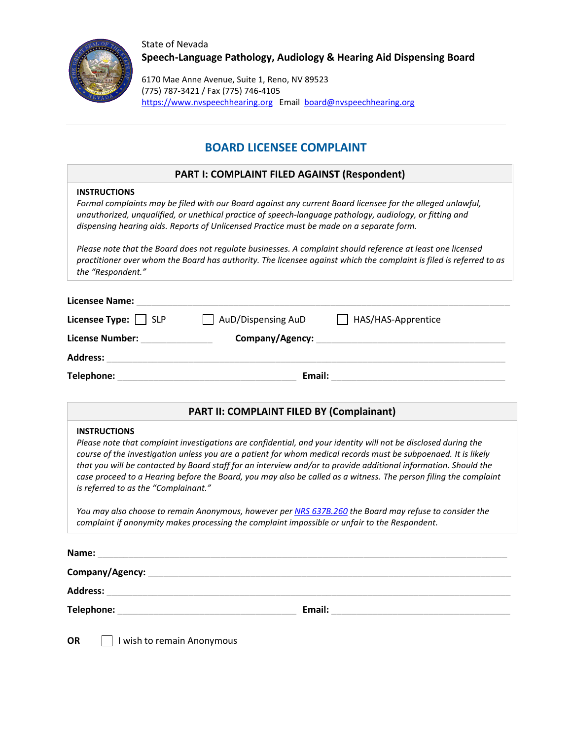

State of Nevada **Speech-Language Pathology, Audiology & Hearing Aid Dispensing Board**

6170 Mae Anne Avenue, Suite 1, Reno, NV 89523 (775) 787-3421 / Fax (775) 746-4105 [https://www.nvspeechhearing.org](https://www.nvspeechhearing.org/) Email [board@nvspeechhearing.org](mailto:board@nvspeechhearing.org)

# **BOARD LICENSEE COMPLAINT**

## **PART I: COMPLAINT FILED AGAINST (Respondent)**

### **INSTRUCTIONS**

*Formal complaints may be filed with our Board against any current Board licensee for the alleged unlawful, unauthorized, unqualified, or unethical practice of speech-language pathology, audiology, or fitting and dispensing hearing aids. Reports of Unlicensed Practice must be made on a separate form.*

*Please note that the Board does not regulate businesses. A complaint should reference at least one licensed practitioner over whom the Board has authority. The licensee against which the complaint is filed is referred to as the "Respondent."*

| <b>Licensee Name:</b>     |                    |                    |
|---------------------------|--------------------|--------------------|
| Licensee Type: $\Box$ SLP | AuD/Dispensing AuD | HAS/HAS-Apprentice |
| <b>License Number:</b>    | Company/Agency:    |                    |
| <b>Address:</b>           |                    |                    |
| Telephone:                | Email:             |                    |

## **PART II: COMPLAINT FILED BY (Complainant)**

### **INSTRUCTIONS**

*Please note that complaint investigations are confidential, and your identity will not be disclosed during the course of the investigation unless you are a patient for whom medical records must be subpoenaed. It is likely that you will be contacted by Board staff for an interview and/or to provide additional information. Should the case proceed to a Hearing before the Board, you may also be called as a witness. The person filing the complaint is referred to as the "Complainant."*

*You may also choose to remain Anonymous, however per [NRS 637B.260](https://www.leg.state.nv.us/NRS/NRS-637B.html#NRS637BSec260) the Board may refuse to consider the complaint if anonymity makes processing the complaint impossible or unfair to the Respondent.*

| Name:           |        |  |
|-----------------|--------|--|
| Company/Agency: |        |  |
| <b>Address:</b> |        |  |
| Telephone:      | Email: |  |

**OR** I wish to remain Anonymous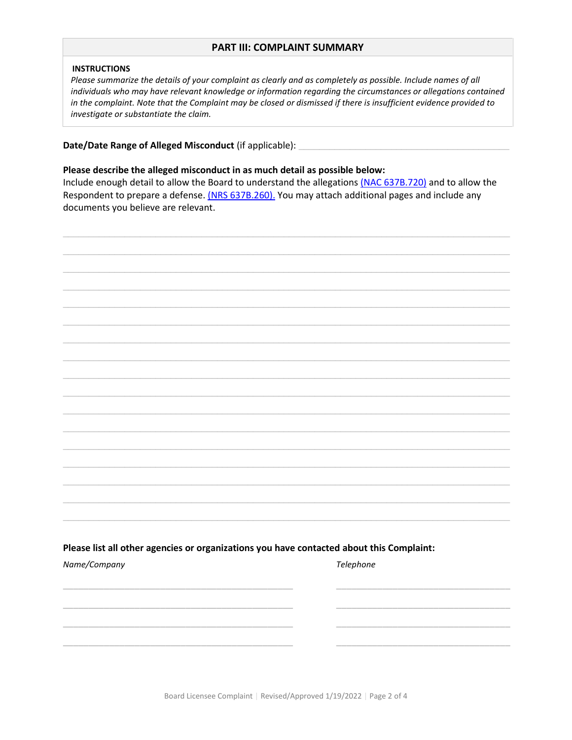### **PART III: COMPLAINT SUMMARY**

#### **INSTRUCTIONS**

Please summarize the details of your complaint as clearly and as completely as possible. Include names of all individuals who may have relevant knowledge or information regarding the circumstances or allegations contained in the complaint. Note that the Complaint may be closed or dismissed if there is insufficient evidence provided to investigate or substantiate the claim.

Date/Date Range of Alleged Misconduct (if applicable): \_

#### Please describe the alleged misconduct in as much detail as possible below:

Include enough detail to allow the Board to understand the allegations (NAC 637B.720) and to allow the Respondent to prepare a defense. (NRS 637B.260). You may attach additional pages and include any documents you believe are relevant.



Board Licensee Complaint | Revised/Approved 1/19/2022 | Page 2 of 4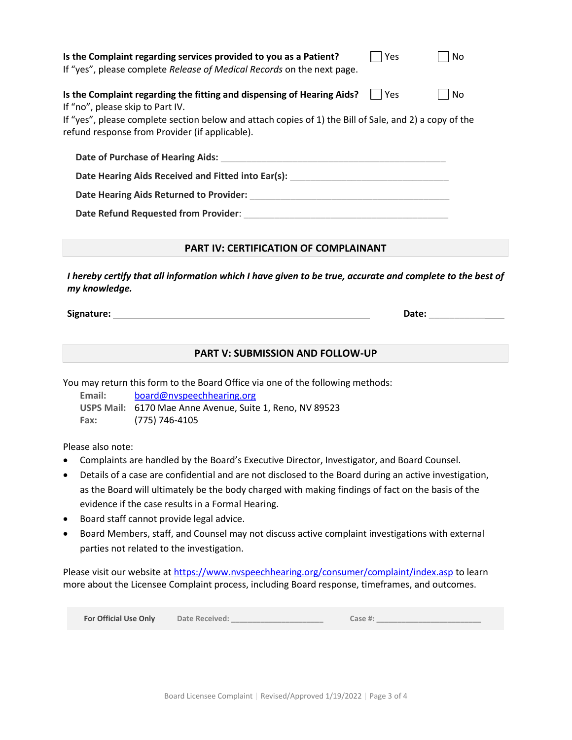| Is the Complaint regarding services provided to you as a Patient?<br>If "yes", please complete Release of Medical Records on the next page.                                                                                                                            | Yes | No |  |
|------------------------------------------------------------------------------------------------------------------------------------------------------------------------------------------------------------------------------------------------------------------------|-----|----|--|
| Is the Complaint regarding the fitting and dispensing of Hearing Aids?<br>If "no", please skip to Part IV.<br>If "yes", please complete section below and attach copies of 1) the Bill of Sale, and 2) a copy of the<br>refund response from Provider (if applicable). | Yes | No |  |
| Date of Purchase of Hearing Aids:                                                                                                                                                                                                                                      |     |    |  |
| Date Hearing Aids Received and Fitted into Ear(s):                                                                                                                                                                                                                     |     |    |  |
| Date Hearing Aids Returned to Provider:                                                                                                                                                                                                                                |     |    |  |
| Date Refund Requested from Provider:                                                                                                                                                                                                                                   |     |    |  |

## **PART IV: CERTIFICATION OF COMPLAINANT**

*I hereby certify that all information which I have given to be true, accurate and complete to the best of my knowledge.*

**Signature: Date: Date: Date: Date: Date: Date: Date: Date: Date: Date: Date: Date: Date: Date: Date: Date: Date: Date: Date: Date: Date: Date: Date: Date: Date: Date:**

**PART V: SUBMISSION AND FOLLOW-UP**

You may return this form to the Board Office via one of the following methods:

**Email:** [board@nvspeechhearing.org](mailto:board@nvspeechhearing.org) **USPS Mail:** 6170 Mae Anne Avenue, Suite 1, Reno, NV 89523 **Fax:** (775) 746-4105

Please also note:

- Complaints are handled by the Board's Executive Director, Investigator, and Board Counsel.
- Details of a case are confidential and are not disclosed to the Board during an active investigation, as the Board will ultimately be the body charged with making findings of fact on the basis of the evidence if the case results in a Formal Hearing.
- Board staff cannot provide legal advice.
- Board Members, staff, and Counsel may not discuss active complaint investigations with external parties not related to the investigation.

Please visit our website at<https://www.nvspeechhearing.org/consumer/complaint/index.asp> to learn more about the Licensee Complaint process, including Board response, timeframes, and outcomes.

| For Official Use Only | <b>Date Received:</b> | Case #: |
|-----------------------|-----------------------|---------|
|-----------------------|-----------------------|---------|